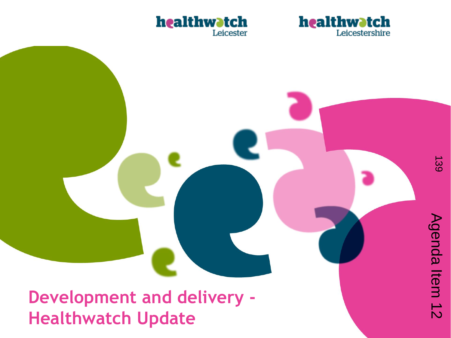



**Development and delivery - Healthwatch Update**

Agenda Item 12

Agenda Item 12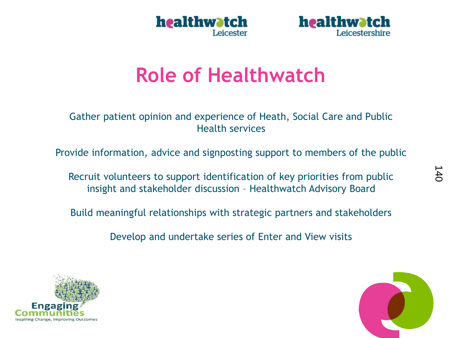



# **Role of Healthwatch**

Gather patient opinion and experience of Heath, Social Care and Public Health services

Provide information, advice and signposting support to members of the public

Recruit volunteers to support identification of key priorities from public insight and stakeholder discussion – Healthwatch Advisory Board

Build meaningful relationships with strategic partners and stakeholders

Develop and undertake series of Enter and View visits



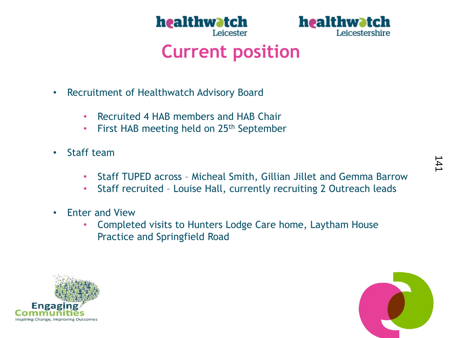



### **Current position**

- Recruitment of Healthwatch Advisory Board
	- Recruited 4 HAB members and HAB Chair
	- First HAB meeting held on 25<sup>th</sup> September
- Staff team
	- Staff TUPED across Micheal Smith, Gillian Jillet and Gemma Barrow
	- Staff recruited Louise Hall, currently recruiting 2 Outreach leads
- Enter and View
	- Completed visits to Hunters Lodge Care home, Laytham House Practice and Springfield Road



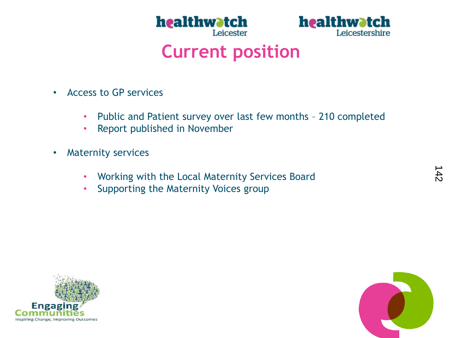



### **Current position**

- Access to GP services
	- Public and Patient survey over last few months 210 completed
	- Report published in November
- Maternity services
	- Working with the Local Maternity Services Board
	- Supporting the Maternity Voices group



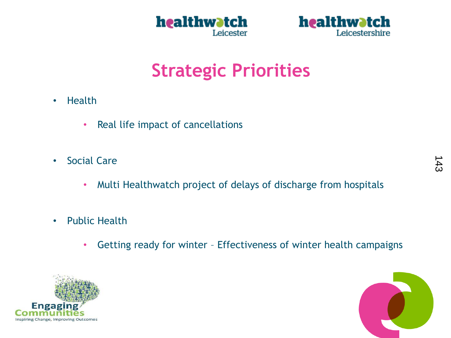



# **Strategic Priorities**

- Health
	- Real life impact of cancellations
- Social Care
	- Multi Healthwatch project of delays of discharge from hospitals
- Public Health
	- Getting ready for winter Effectiveness of winter health campaigns



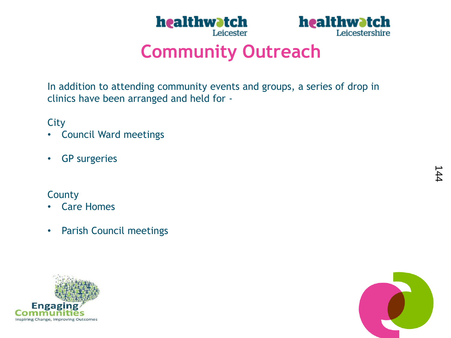



## **Community Outreach**

In addition to attending community events and groups, a series of drop in clinics have been arranged and held for -

**City** 

- Council Ward meetings
- GP surgeries

#### County

- Care Homes
- Parish Council meetings



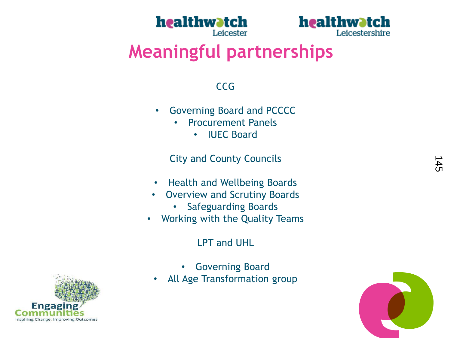



## **Meaningful partnerships**

#### **CCG**

- Governing Board and PCCCC
	- Procurement Panels
		- IUEC Board

City and County Councils

- Health and Wellbeing Boards
- Overview and Scrutiny Boards
	- Safeguarding Boards
- Working with the Quality Teams

#### LPT and UHL

- Governing Board
- All Age Transformation group



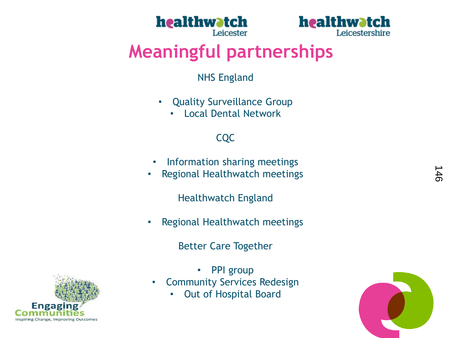



# **Meaningful partnerships**

#### NHS England

- Quality Surveillance Group
	- Local Dental Network

#### CQC

- Information sharing meetings
- Regional Healthwatch meetings

Healthwatch England

• Regional Healthwatch meetings

Better Care Together

Engag Inspiring Change, Improving Outcomes

- **PPI** group
- Community Services Redesign
	- Out of Hospital Board

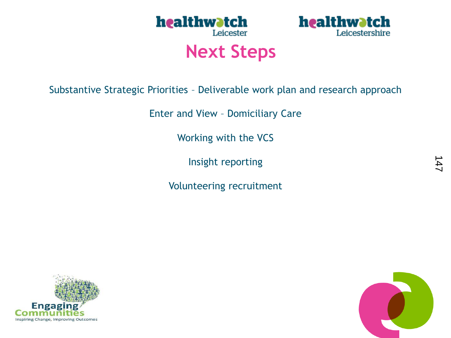



### **Next Steps**

Substantive Strategic Priorities – Deliverable work plan and research approach

Enter and View – Domiciliary Care

Working with the VCS

Insight reporting

Volunteering recruitment